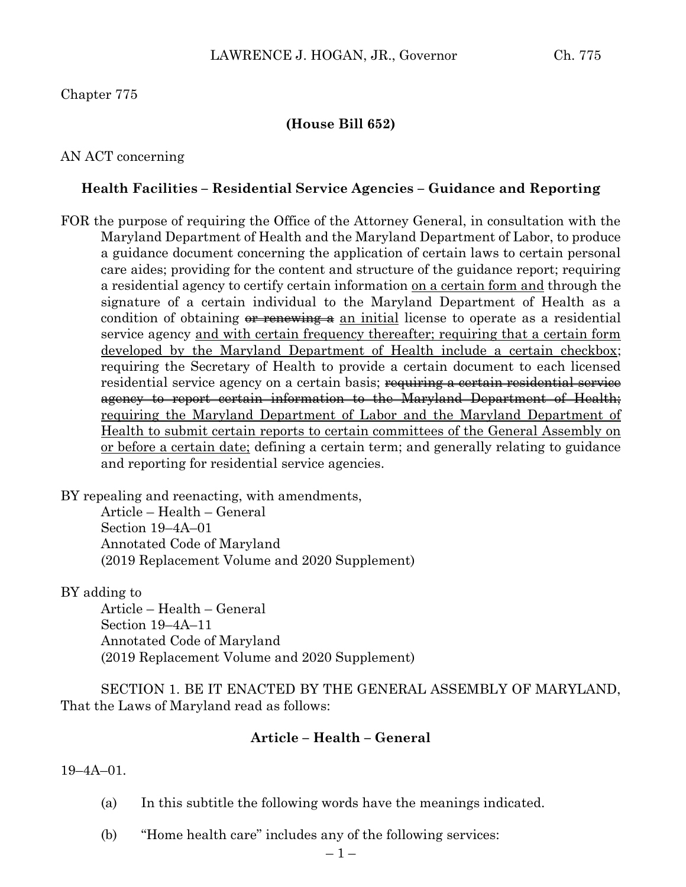# Chapter 775

## **(House Bill 652)**

## AN ACT concerning

## **Health Facilities – Residential Service Agencies – Guidance and Reporting**

FOR the purpose of requiring the Office of the Attorney General, in consultation with the Maryland Department of Health and the Maryland Department of Labor, to produce a guidance document concerning the application of certain laws to certain personal care aides; providing for the content and structure of the guidance report; requiring a residential agency to certify certain information on a certain form and through the signature of a certain individual to the Maryland Department of Health as a condition of obtaining  $\theta$  renewing a an initial license to operate as a residential service agency and with certain frequency thereafter; requiring that a certain form developed by the Maryland Department of Health include a certain checkbox; requiring the Secretary of Health to provide a certain document to each licensed residential service agency on a certain basis; <del>requiring a certain residential service</del> agency to report certain information to the Maryland Department of Health; requiring the Maryland Department of Labor and the Maryland Department of Health to submit certain reports to certain committees of the General Assembly on or before a certain date; defining a certain term; and generally relating to guidance and reporting for residential service agencies.

BY repealing and reenacting, with amendments, Article – Health – General Section 19–4A–01 Annotated Code of Maryland (2019 Replacement Volume and 2020 Supplement)

#### BY adding to

Article – Health – General Section 19–4A–11 Annotated Code of Maryland (2019 Replacement Volume and 2020 Supplement)

SECTION 1. BE IT ENACTED BY THE GENERAL ASSEMBLY OF MARYLAND, That the Laws of Maryland read as follows:

#### **Article – Health – General**

19–4A–01.

- (a) In this subtitle the following words have the meanings indicated.
- (b) "Home health care" includes any of the following services: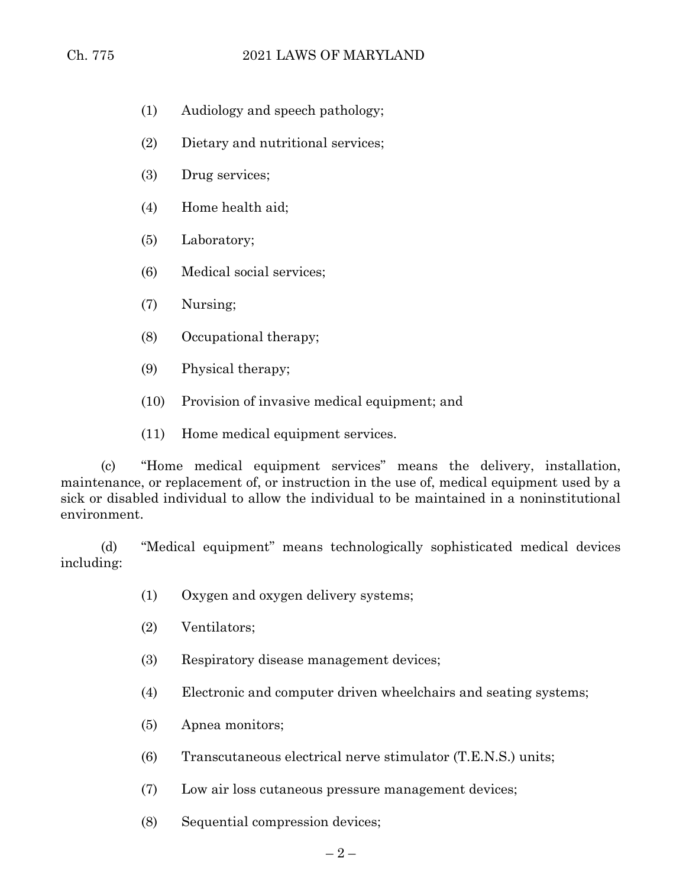- (1) Audiology and speech pathology;
- (2) Dietary and nutritional services;
- (3) Drug services;
- (4) Home health aid;
- (5) Laboratory;
- (6) Medical social services;
- (7) Nursing;
- (8) Occupational therapy;
- (9) Physical therapy;
- (10) Provision of invasive medical equipment; and
- (11) Home medical equipment services.

(c) "Home medical equipment services" means the delivery, installation, maintenance, or replacement of, or instruction in the use of, medical equipment used by a sick or disabled individual to allow the individual to be maintained in a noninstitutional environment.

(d) "Medical equipment" means technologically sophisticated medical devices including:

- (1) Oxygen and oxygen delivery systems;
- (2) Ventilators;
- (3) Respiratory disease management devices;
- (4) Electronic and computer driven wheelchairs and seating systems;
- (5) Apnea monitors;
- (6) Transcutaneous electrical nerve stimulator (T.E.N.S.) units;
- (7) Low air loss cutaneous pressure management devices;
- (8) Sequential compression devices;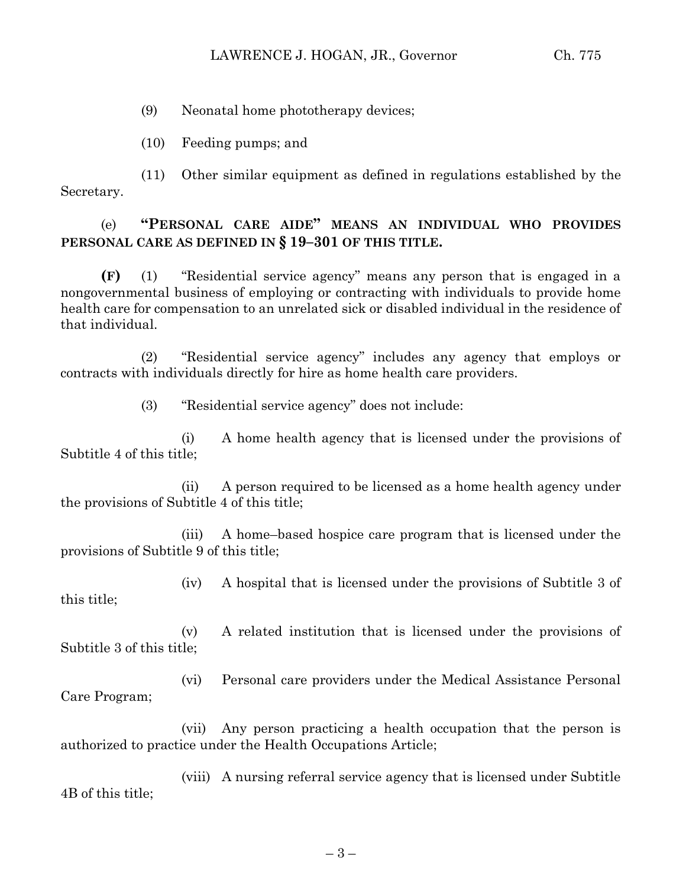(9) Neonatal home phototherapy devices;

(10) Feeding pumps; and

(11) Other similar equipment as defined in regulations established by the Secretary.

# (e) **"PERSONAL CARE AIDE" MEANS AN INDIVIDUAL WHO PROVIDES PERSONAL CARE AS DEFINED IN § 19–301 OF THIS TITLE.**

**(F)** (1) "Residential service agency" means any person that is engaged in a nongovernmental business of employing or contracting with individuals to provide home health care for compensation to an unrelated sick or disabled individual in the residence of that individual.

(2) "Residential service agency" includes any agency that employs or contracts with individuals directly for hire as home health care providers.

(3) "Residential service agency" does not include:

(i) A home health agency that is licensed under the provisions of Subtitle 4 of this title;

(ii) A person required to be licensed as a home health agency under the provisions of Subtitle 4 of this title;

(iii) A home–based hospice care program that is licensed under the provisions of Subtitle 9 of this title;

(iv) A hospital that is licensed under the provisions of Subtitle 3 of this title;

(v) A related institution that is licensed under the provisions of Subtitle 3 of this title;

(vi) Personal care providers under the Medical Assistance Personal Care Program;

(vii) Any person practicing a health occupation that the person is authorized to practice under the Health Occupations Article;

(viii) A nursing referral service agency that is licensed under Subtitle 4B of this title;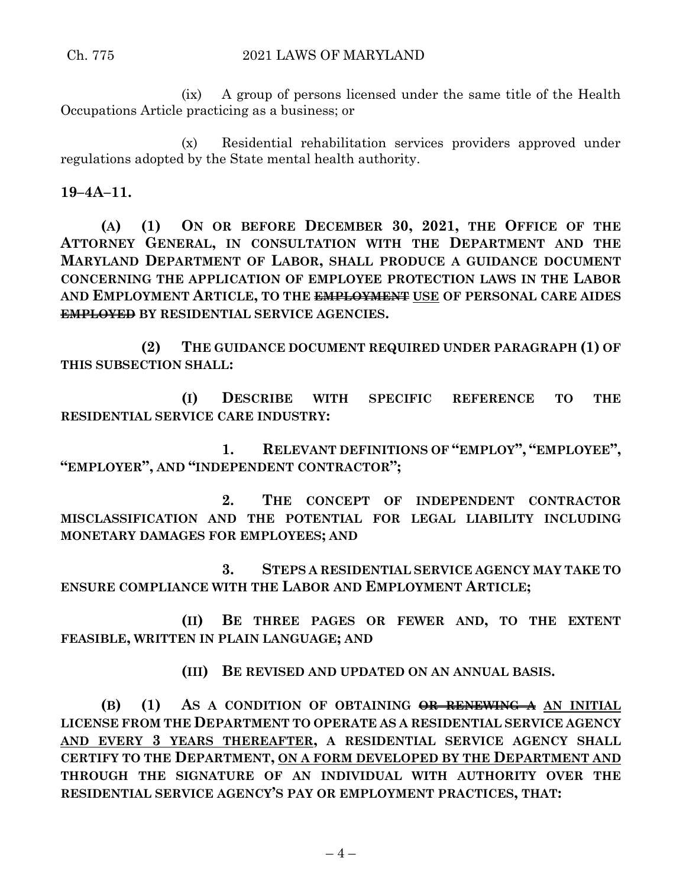(ix) A group of persons licensed under the same title of the Health Occupations Article practicing as a business; or

(x) Residential rehabilitation services providers approved under regulations adopted by the State mental health authority.

**19–4A–11.**

**(A) (1) ON OR BEFORE DECEMBER 30, 2021, THE OFFICE OF THE ATTORNEY GENERAL, IN CONSULTATION WITH THE DEPARTMENT AND THE MARYLAND DEPARTMENT OF LABOR, SHALL PRODUCE A GUIDANCE DOCUMENT CONCERNING THE APPLICATION OF EMPLOYEE PROTECTION LAWS IN THE LABOR AND EMPLOYMENT ARTICLE, TO THE EMPLOYMENT USE OF PERSONAL CARE AIDES EMPLOYED BY RESIDENTIAL SERVICE AGENCIES.**

**(2) THE GUIDANCE DOCUMENT REQUIRED UNDER PARAGRAPH (1) OF THIS SUBSECTION SHALL:**

**(I) DESCRIBE WITH SPECIFIC REFERENCE TO THE RESIDENTIAL SERVICE CARE INDUSTRY:**

**1. RELEVANT DEFINITIONS OF "EMPLOY", "EMPLOYEE", "EMPLOYER", AND "INDEPENDENT CONTRACTOR";**

**2. THE CONCEPT OF INDEPENDENT CONTRACTOR MISCLASSIFICATION AND THE POTENTIAL FOR LEGAL LIABILITY INCLUDING MONETARY DAMAGES FOR EMPLOYEES; AND**

**3. STEPS A RESIDENTIAL SERVICE AGENCY MAY TAKE TO ENSURE COMPLIANCE WITH THE LABOR AND EMPLOYMENT ARTICLE;**

**(II) BE THREE PAGES OR FEWER AND, TO THE EXTENT FEASIBLE, WRITTEN IN PLAIN LANGUAGE; AND**

**(III) BE REVISED AND UPDATED ON AN ANNUAL BASIS.**

**(B) (1) AS A CONDITION OF OBTAINING OR RENEWING A AN INITIAL LICENSE FROM THE DEPARTMENT TO OPERATE AS A RESIDENTIAL SERVICE AGENCY AND EVERY 3 YEARS THEREAFTER, A RESIDENTIAL SERVICE AGENCY SHALL CERTIFY TO THE DEPARTMENT, ON A FORM DEVELOPED BY THE DEPARTMENT AND THROUGH THE SIGNATURE OF AN INDIVIDUAL WITH AUTHORITY OVER THE RESIDENTIAL SERVICE AGENCY'S PAY OR EMPLOYMENT PRACTICES, THAT:**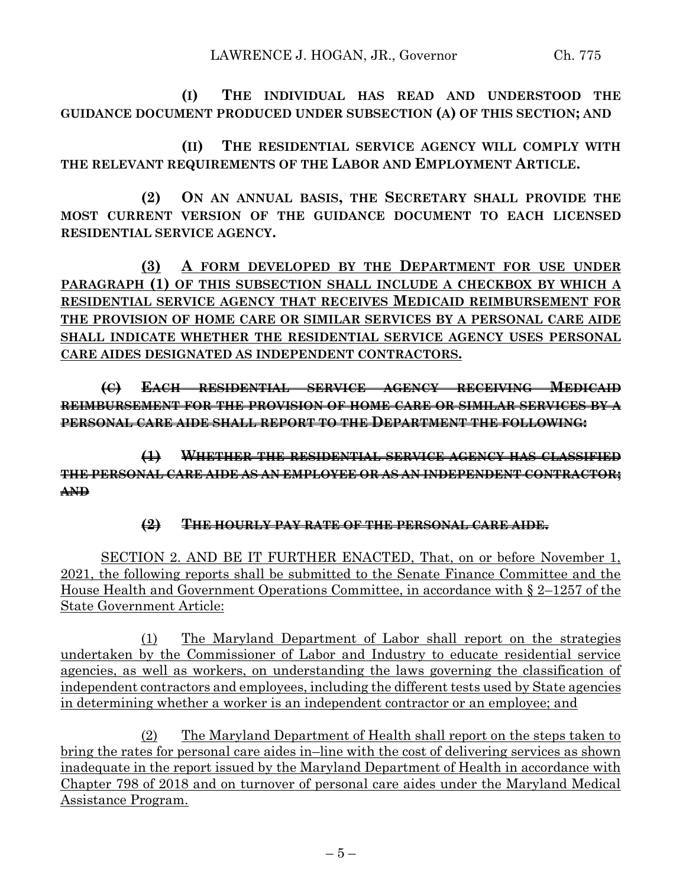**(I) THE INDIVIDUAL HAS READ AND UNDERSTOOD THE GUIDANCE DOCUMENT PRODUCED UNDER SUBSECTION (A) OF THIS SECTION; AND**

**(II) THE RESIDENTIAL SERVICE AGENCY WILL COMPLY WITH THE RELEVANT REQUIREMENTS OF THE LABOR AND EMPLOYMENT ARTICLE.**

**(2) ON AN ANNUAL BASIS, THE SECRETARY SHALL PROVIDE THE MOST CURRENT VERSION OF THE GUIDANCE DOCUMENT TO EACH LICENSED RESIDENTIAL SERVICE AGENCY.**

**(3) A FORM DEVELOPED BY THE DEPARTMENT FOR USE UNDER PARAGRAPH (1) OF THIS SUBSECTION SHALL INCLUDE A CHECKBOX BY WHICH A RESIDENTIAL SERVICE AGENCY THAT RECEIVES MEDICAID REIMBURSEMENT FOR THE PROVISION OF HOME CARE OR SIMILAR SERVICES BY A PERSONAL CARE AIDE SHALL INDICATE WHETHER THE RESIDENTIAL SERVICE AGENCY USES PERSONAL CARE AIDES DESIGNATED AS INDEPENDENT CONTRACTORS.**

**(C) EACH RESIDENTIAL SERVICE AGENCY RECEIVING MEDICAID REIMBURSEMENT FOR THE PROVISION OF HOME CARE OR SIMILAR SERVICES BY A PERSONAL CARE AIDE SHALL REPORT TO THE DEPARTMENT THE FOLLOWING:**

**(1) WHETHER THE RESIDENTIAL SERVICE AGENCY HAS CLASSIFIED THE PERSONAL CARE AIDE AS AN EMPLOYEE OR AS AN INDEPENDENT CONTRACTOR; AND**

# **(2) THE HOURLY PAY RATE OF THE PERSONAL CARE AIDE.**

SECTION 2. AND BE IT FURTHER ENACTED, That, on or before November 1, 2021, the following reports shall be submitted to the Senate Finance Committee and the House Health and Government Operations Committee, in accordance with § 2–1257 of the State Government Article:

(1) The Maryland Department of Labor shall report on the strategies undertaken by the Commissioner of Labor and Industry to educate residential service agencies, as well as workers, on understanding the laws governing the classification of independent contractors and employees, including the different tests used by State agencies in determining whether a worker is an independent contractor or an employee; and

(2) The Maryland Department of Health shall report on the steps taken to bring the rates for personal care aides in–line with the cost of delivering services as shown inadequate in the report issued by the Maryland Department of Health in accordance with Chapter 798 of 2018 and on turnover of personal care aides under the Maryland Medical Assistance Program.